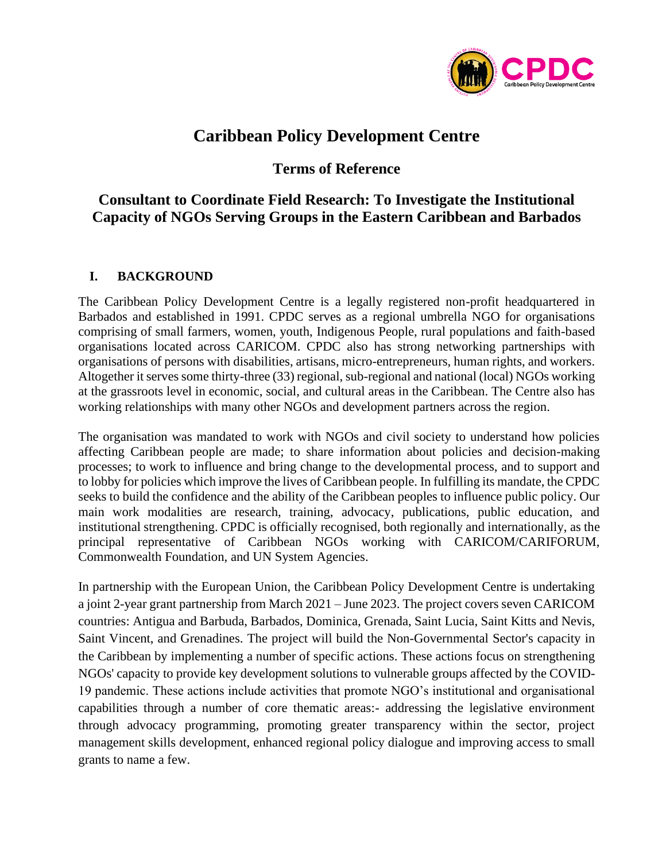

# **Caribbean Policy Development Centre**

# **Terms of Reference**

# **Consultant to Coordinate Field Research: To Investigate the Institutional Capacity of NGOs Serving Groups in the Eastern Caribbean and Barbados**

## **I. BACKGROUND**

The Caribbean Policy Development Centre is a legally registered non-profit headquartered in Barbados and established in 1991. CPDC serves as a regional umbrella NGO for organisations comprising of small farmers, women, youth, Indigenous People, rural populations and faith-based organisations located across CARICOM. CPDC also has strong networking partnerships with organisations of persons with disabilities, artisans, micro-entrepreneurs, human rights, and workers. Altogether it serves some thirty-three (33) regional, sub-regional and national (local) NGOs working at the grassroots level in economic, social, and cultural areas in the Caribbean. The Centre also has working relationships with many other NGOs and development partners across the region.

The organisation was mandated to work with NGOs and civil society to understand how policies affecting Caribbean people are made; to share information about policies and decision-making processes; to work to influence and bring change to the developmental process, and to support and to lobby for policies which improve the lives of Caribbean people. In fulfilling its mandate, the CPDC seeks to build the confidence and the ability of the Caribbean peoples to influence public policy. Our main work modalities are research, training, advocacy, publications, public education, and institutional strengthening. CPDC is officially recognised, both regionally and internationally, as the principal representative of Caribbean NGOs working with CARICOM/CARIFORUM, Commonwealth Foundation, and UN System Agencies.

In partnership with the European Union, the Caribbean Policy Development Centre is undertaking a joint 2-year grant partnership from March 2021 – June 2023. The project covers seven CARICOM countries: Antigua and Barbuda, Barbados, Dominica, Grenada, Saint Lucia, Saint Kitts and Nevis, Saint Vincent, and Grenadines. The project will build the Non-Governmental Sector's capacity in the Caribbean by implementing a number of specific actions. These actions focus on strengthening NGOs' capacity to provide key development solutions to vulnerable groups affected by the COVID-19 pandemic. These actions include activities that promote NGO's institutional and organisational capabilities through a number of core thematic areas:- addressing the legislative environment through advocacy programming, promoting greater transparency within the sector, project management skills development, enhanced regional policy dialogue and improving access to small grants to name a few.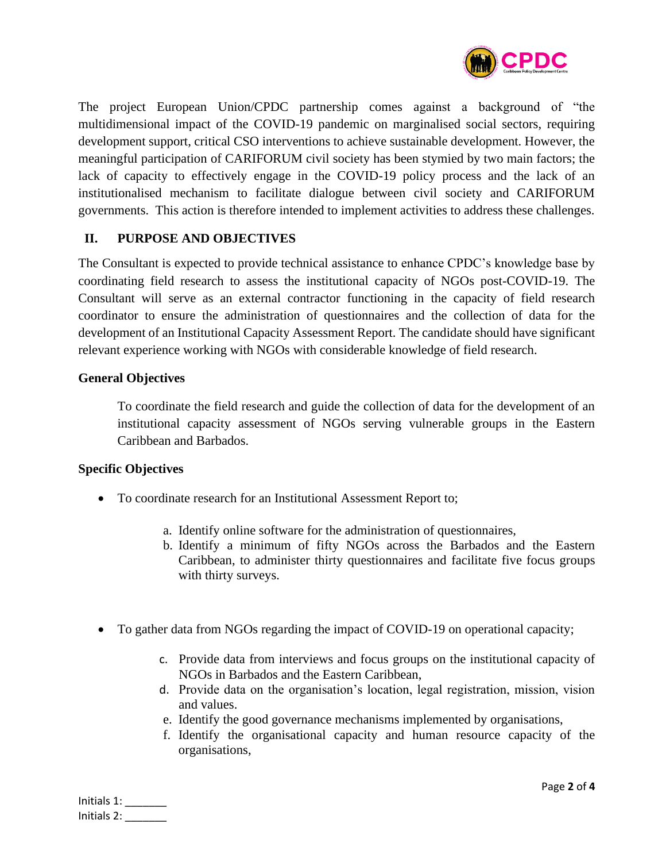

The project European Union/CPDC partnership comes against a background of "the multidimensional impact of the COVID-19 pandemic on marginalised social sectors, requiring development support, critical CSO interventions to achieve sustainable development. However, the meaningful participation of CARIFORUM civil society has been stymied by two main factors; the lack of capacity to effectively engage in the COVID-19 policy process and the lack of an institutionalised mechanism to facilitate dialogue between civil society and CARIFORUM governments. This action is therefore intended to implement activities to address these challenges.

### **II. PURPOSE AND OBJECTIVES**

The Consultant is expected to provide technical assistance to enhance CPDC's knowledge base by coordinating field research to assess the institutional capacity of NGOs post-COVID-19. The Consultant will serve as an external contractor functioning in the capacity of field research coordinator to ensure the administration of questionnaires and the collection of data for the development of an Institutional Capacity Assessment Report. The candidate should have significant relevant experience working with NGOs with considerable knowledge of field research.

#### **General Objectives**

To coordinate the field research and guide the collection of data for the development of an institutional capacity assessment of NGOs serving vulnerable groups in the Eastern Caribbean and Barbados.

#### **Specific Objectives**

- To coordinate research for an Institutional Assessment Report to;
	- a. Identify online software for the administration of questionnaires,
	- b. Identify a minimum of fifty NGOs across the Barbados and the Eastern Caribbean, to administer thirty questionnaires and facilitate five focus groups with thirty surveys.
- To gather data from NGOs regarding the impact of COVID-19 on operational capacity;
	- c. Provide data from interviews and focus groups on the institutional capacity of NGOs in Barbados and the Eastern Caribbean,
	- d. Provide data on the organisation's location, legal registration, mission, vision and values.
	- e. Identify the good governance mechanisms implemented by organisations,
	- f. Identify the organisational capacity and human resource capacity of the organisations,

| Initials 1: |  |
|-------------|--|
| Initials 2: |  |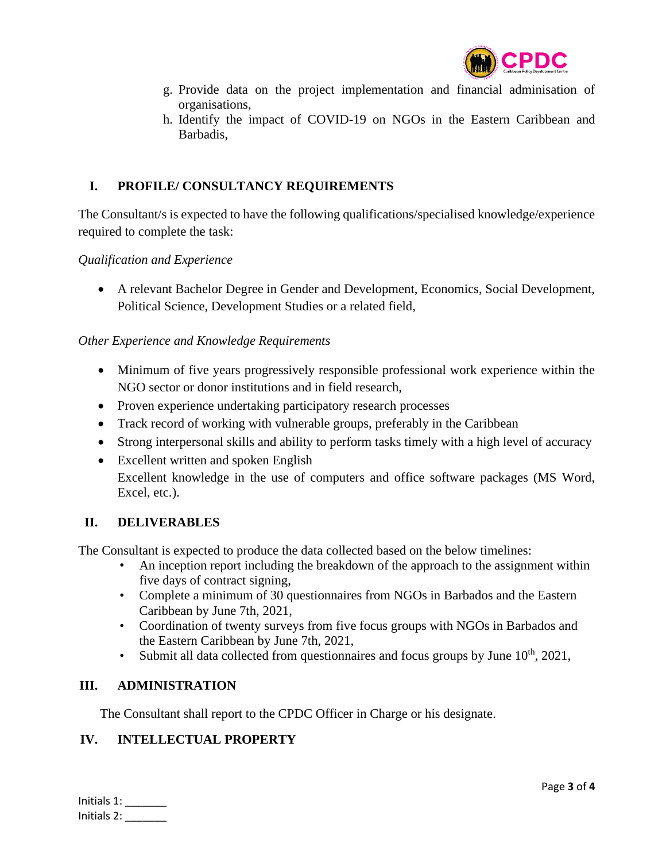

- g. Provide data on the project implementation and financial adminisation of organisations,
- h. Identify the impact of COVID-19 on NGOs in the Eastern Caribbean and Barbadis,

### **I. PROFILE/ CONSULTANCY REQUIREMENTS**

The Consultant/s is expected to have the following qualifications/specialised knowledge/experience required to complete the task:

*Qualification and Experience*

• A relevant Bachelor Degree in Gender and Development, Economics, Social Development, Political Science, Development Studies or a related field,

### *Other Experience and Knowledge Requirements*

- Minimum of five years progressively responsible professional work experience within the NGO sector or donor institutions and in field research,
- Proven experience undertaking participatory research processes
- Track record of working with vulnerable groups, preferably in the Caribbean
- Strong interpersonal skills and ability to perform tasks timely with a high level of accuracy
- Excellent written and spoken English Excellent knowledge in the use of computers and office software packages (MS Word, Excel, etc.).

### **II. DELIVERABLES**

The Consultant is expected to produce the data collected based on the below timelines:

- An inception report including the breakdown of the approach to the assignment within five days of contract signing,
- Complete a minimum of 30 questionnaires from NGOs in Barbados and the Eastern Caribbean by June 7th, 2021,
- Coordination of twenty surveys from five focus groups with NGOs in Barbados and the Eastern Caribbean by June 7th, 2021,
- Submit all data collected from questionnaires and focus groups by June  $10<sup>th</sup>$ , 2021,

#### **III. ADMINISTRATION**

The Consultant shall report to the CPDC Officer in Charge or his designate.

### **IV. INTELLECTUAL PROPERTY**

| Initials 1: |  |
|-------------|--|
| Initials 2: |  |